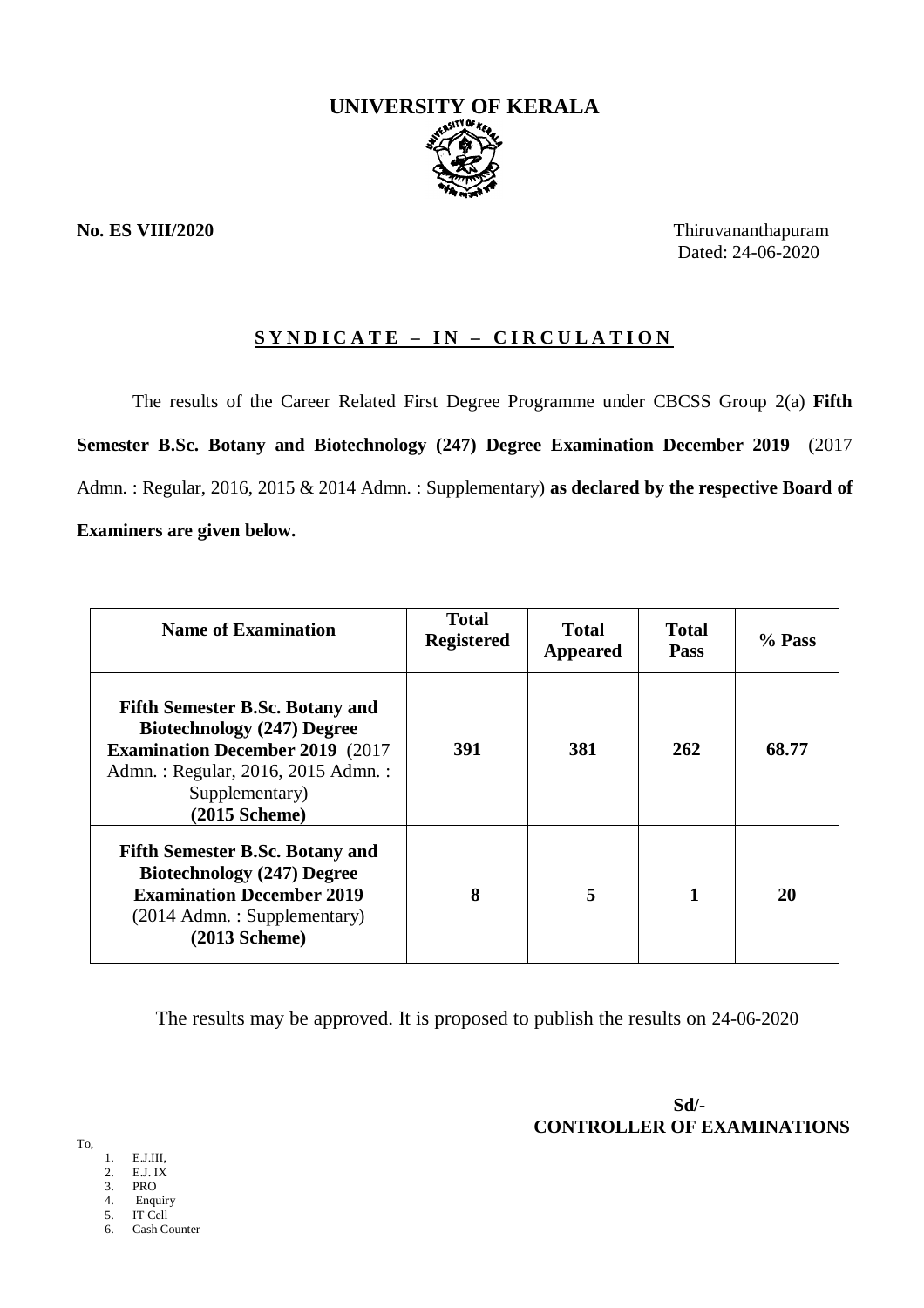

**No. ES VIII/2020** Thiruvananthapuram Dated: 24-06-2020

# **S Y N D I C A T E – I N – C I R C U L A T I O N**

The results of the Career Related First Degree Programme under CBCSS Group 2(a) **Fifth Semester B.Sc. Botany and Biotechnology (247) Degree Examination December 2019** (2017 Admn. : Regular, 2016, 2015 & 2014 Admn. : Supplementary) **as declared by the respective Board of Examiners are given below.**

| <b>Name of Examination</b>                                                                                                                                                                       | <b>Total</b><br><b>Registered</b> | <b>Total</b><br><b>Appeared</b> | <b>Total</b><br><b>Pass</b> | % Pass |
|--------------------------------------------------------------------------------------------------------------------------------------------------------------------------------------------------|-----------------------------------|---------------------------------|-----------------------------|--------|
| <b>Fifth Semester B.Sc. Botany and</b><br><b>Biotechnology (247) Degree</b><br><b>Examination December 2019 (2017)</b><br>Admn.: Regular, 2016, 2015 Admn.:<br>Supplementary)<br>$(2015$ Scheme) | 391                               | 381                             | 262                         | 68.77  |
| <b>Fifth Semester B.Sc. Botany and</b><br><b>Biotechnology (247) Degree</b><br><b>Examination December 2019</b><br>(2014 Admn.: Supplementary)<br>$(2013$ Scheme)                                | 8                                 | 5                               |                             | 20     |

The results may be approved. It is proposed to publish the results on 24-06-2020

 **Sd/- CONTROLLER OF EXAMINATIONS**

To,

- 1. E.J.III,
- 2. E.J. IX 3. PRO
- 4. Enquiry
- 5. IT Cell<br>6 Cash Co
- Cash Counter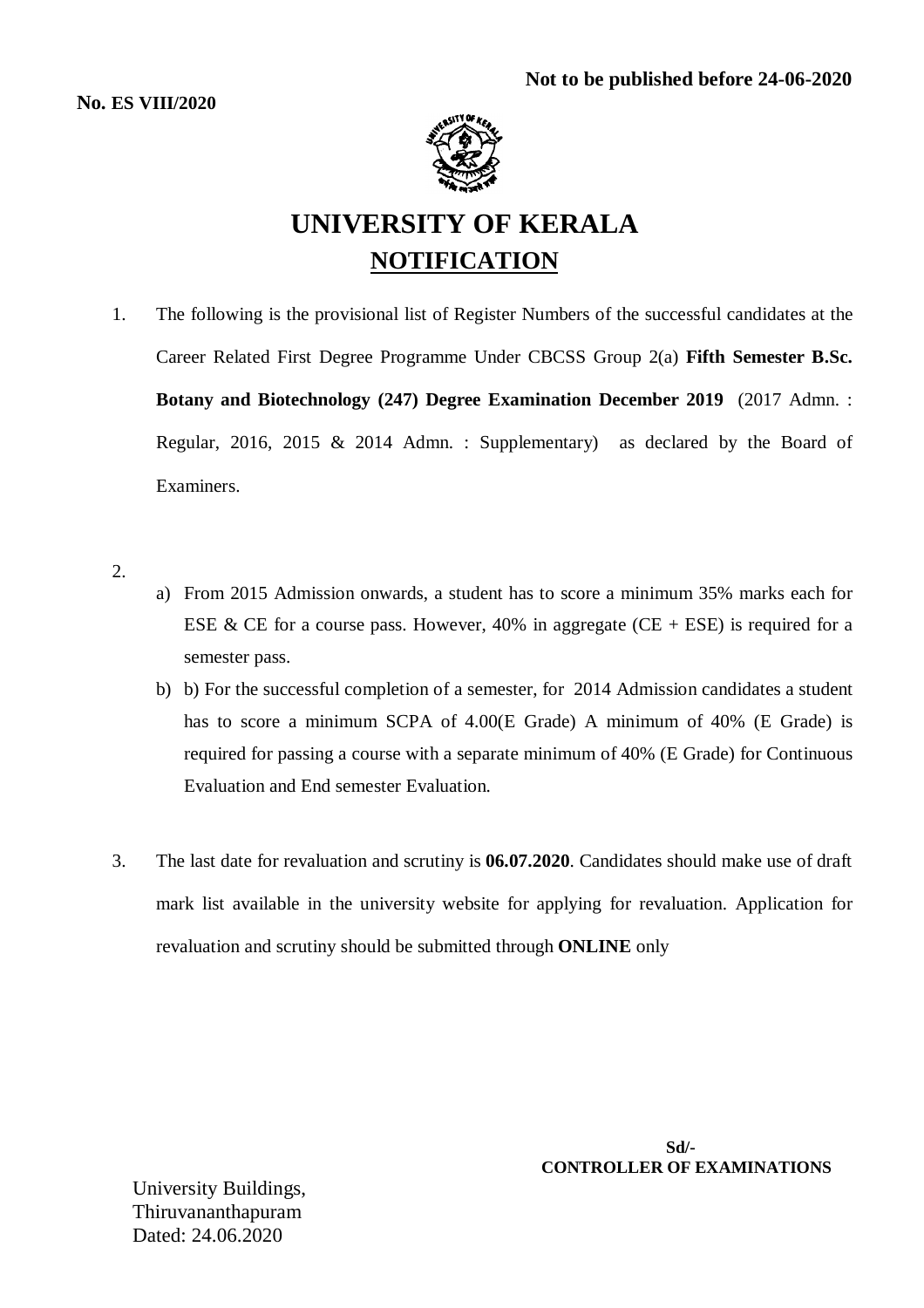

# **UNIVERSITY OF KERALA NOTIFICATION**

1. The following is the provisional list of Register Numbers of the successful candidates at the Career Related First Degree Programme Under CBCSS Group 2(a) **Fifth Semester B.Sc. Botany and Biotechnology (247) Degree Examination December 2019** (2017 Admn. : Regular, 2016, 2015 & 2014 Admn. : Supplementary) as declared by the Board of Examiners.

2.

- a) From 2015 Admission onwards, a student has to score a minimum 35% marks each for ESE & CE for a course pass. However, 40% in aggregate (CE + ESE) is required for a semester pass.
- b) b) For the successful completion of a semester, for 2014 Admission candidates a student has to score a minimum SCPA of 4.00(E Grade) A minimum of 40% (E Grade) is required for passing a course with a separate minimum of 40% (E Grade) for Continuous Evaluation and End semester Evaluation.
- 3. The last date for revaluation and scrutiny is **06.07.2020**. Candidates should make use of draft mark list available in the university website for applying for revaluation. Application for revaluation and scrutiny should be submitted through **ONLINE** only

 **Sd/- CONTROLLER OF EXAMINATIONS**

University Buildings, Thiruvananthapuram Dated: 24.06.2020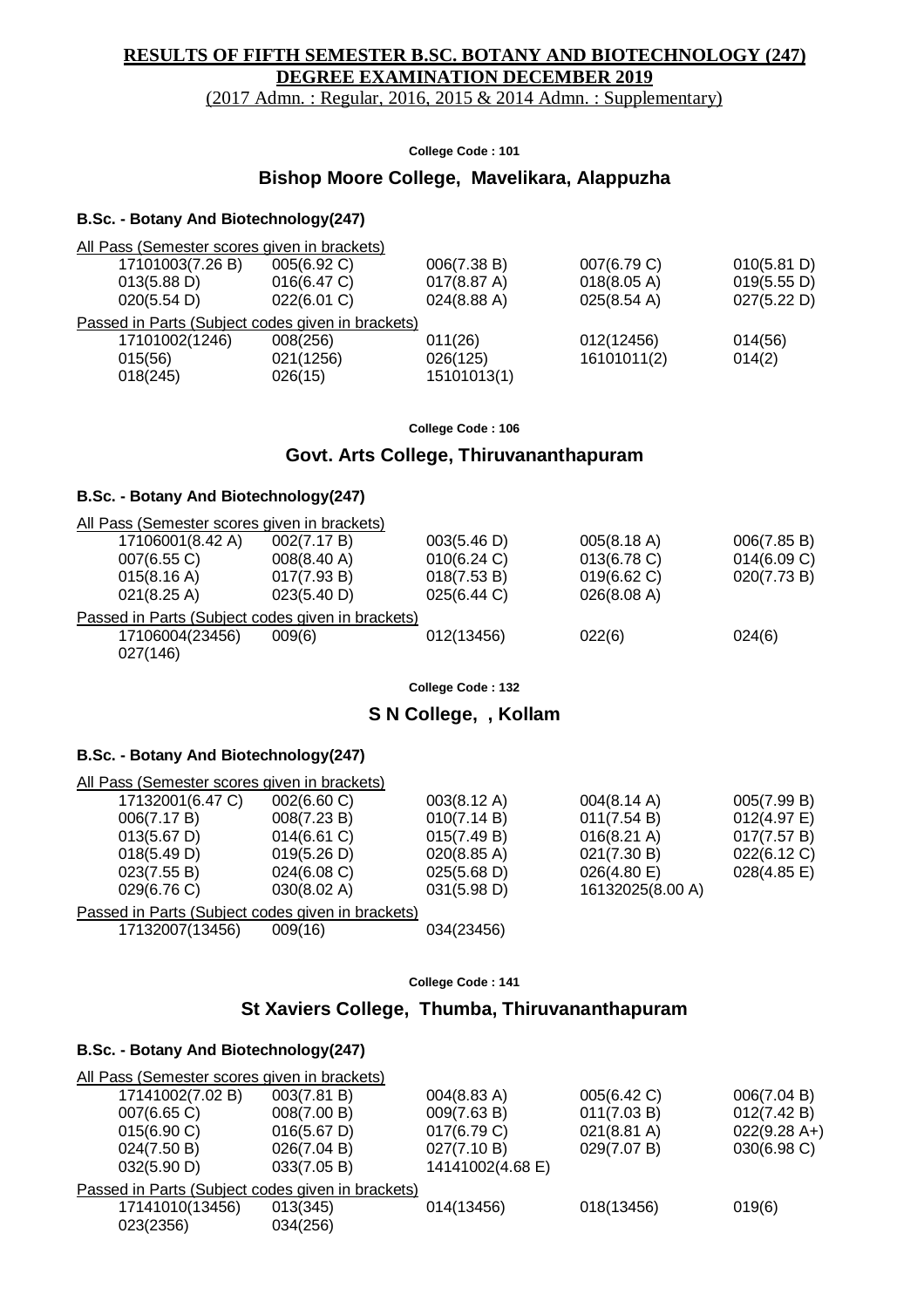# **RESULTS OF FIFTH SEMESTER B.SC. BOTANY AND BIOTECHNOLOGY (247) DEGREE EXAMINATION DECEMBER 2019**  (2017 Admn. : Regular, 2016, 2015 & 2014 Admn. : Supplementary)

**College Code : 101**

# **Bishop Moore College, Mavelikara, Alappuzha**

# **B.Sc. - Botany And Biotechnology(247)**

| 17101003(7.26 B)      | 005(6.92 C)    | 006(7.38 B)                                                                                       | 007(6.79 C)           | 010(5.81 D) |
|-----------------------|----------------|---------------------------------------------------------------------------------------------------|-----------------------|-------------|
| $013(5.88 \text{ D})$ | 016(6.47 C)    | 017(8.87 A)                                                                                       | 018(8.05 A)           | 019(5.55 D) |
| 020(5.54 D)           | $022(6.01)$ C) | 024(8.88 A)                                                                                       | $025(8.54 \text{ A})$ | 027(5.22 D) |
|                       |                |                                                                                                   |                       |             |
| 17101002(1246)        | 008(256)       | 011(26)                                                                                           | 012(12456)            | 014(56)     |
| 015(56)               | 021(1256)      | 026(125)                                                                                          | 16101011(2)           | 014(2)      |
| 018(245)              | 026(15)        | 15101013(1)                                                                                       |                       |             |
|                       |                | All Pass (Semester scores given in brackets)<br>Passed in Parts (Subject codes given in brackets) |                       |             |

**College Code : 106**

# **Govt. Arts College, Thiruvananthapuram**

### **B.Sc. - Botany And Biotechnology(247)**

| All Pass (Semester scores given in brackets)      |                       |             |             |             |
|---------------------------------------------------|-----------------------|-------------|-------------|-------------|
| 17106001(8.42 A)                                  | 002(7.17 B)           | 003(5.46 D) | 005(8.18 A) | 006(7.85 B) |
| 007(6.55 C)                                       | $008(8.40 \text{ A})$ | 010(6.24)   | 013(6.78 C) | 014(6.09 C) |
| $015(8.16 \text{ A})$                             | 017(7.93 B)           | 018(7.53 B) | 019(6.62)   | 020(7.73 B) |
| $021(8.25 \text{ A})$                             | 023(5.40 D)           | 025(6.44 C) | 026(8.08 A) |             |
| Passed in Parts (Subject codes given in brackets) |                       |             |             |             |
| 17106004(23456)                                   | 009(6)                | 012(13456)  | 022(6)      | 024(6)      |
| 027(146)                                          |                       |             |             |             |
|                                                   |                       |             |             |             |

**College Code : 132**

# **S N College, , Kollam**

## **B.Sc. - Botany And Biotechnology(247)**

| All Pass (Semester scores given in brackets)      |                |                       |                       |                       |
|---------------------------------------------------|----------------|-----------------------|-----------------------|-----------------------|
| 17132001(6.47 C)                                  | 002(6.60 C)    | $003(8.12 \text{ A})$ | $004(8.14 \text{ A})$ | 005(7.99 B)           |
| 006(7.17 B)                                       | 008(7.23 B)    | 010(7.14 B)           | 011(7.54 B)           | 012(4.97 E)           |
| $013(5.67 \text{ D})$                             | $014(6.61)$ C) | 015(7.49 B)           | $016(8.21 \text{ A})$ | 017(7.57 B)           |
| 018(5.49 D)                                       | 019(5.26 D)    | $020(8.85 \text{ A})$ | 021(7.30 B)           | 022(6.12 C)           |
| 023(7.55 B)                                       | 024(6.08 C)    | 025(5.68 D)           | 026(4.80)             | $028(4.85 \text{ E})$ |
| 029(6.76 C)                                       | 030(8.02 A)    | 031(5.98 D)           | 16132025(8.00 A)      |                       |
| Passed in Parts (Subject codes given in brackets) |                |                       |                       |                       |
| 17132007(13456)                                   | 009(16)        | 034(23456)            |                       |                       |

|  | College Code: 141 |  |  |  |
|--|-------------------|--|--|--|
|--|-------------------|--|--|--|

# **St Xaviers College, Thumba, Thiruvananthapuram**

## **B.Sc. - Botany And Biotechnology(247)**

| All Pass (Semester scores given in brackets)      |             |                  |                       |                |
|---------------------------------------------------|-------------|------------------|-----------------------|----------------|
| 17141002(7.02 B)                                  | 003(7.81 B) | 004(8.83 A)      | 005(6.42 C)           | 006(7.04 B)    |
| $007(6.65)$ C)                                    | 008(7.00 B) | 009(7.63 B)      | 011(7.03 B)           | 012(7.42 B)    |
| 015(6.90 C)                                       | 016(5.67 D) | 017(6.79 C)      | $021(8.81 \text{ A})$ | $022(9.28 A+)$ |
| 024(7.50 B)                                       | 026(7.04 B) | 027(7.10 B)      | 029(7.07 B)           | 030(6.98)      |
| 032(5.90 D)                                       | 033(7.05 B) | 14141002(4.68 E) |                       |                |
| Passed in Parts (Subject codes given in brackets) |             |                  |                       |                |
| 17141010(13456)                                   | 013(345)    | 014(13456)       | 018(13456)            | 019(6)         |
| 023(2356)                                         | 034(256)    |                  |                       |                |
|                                                   |             |                  |                       |                |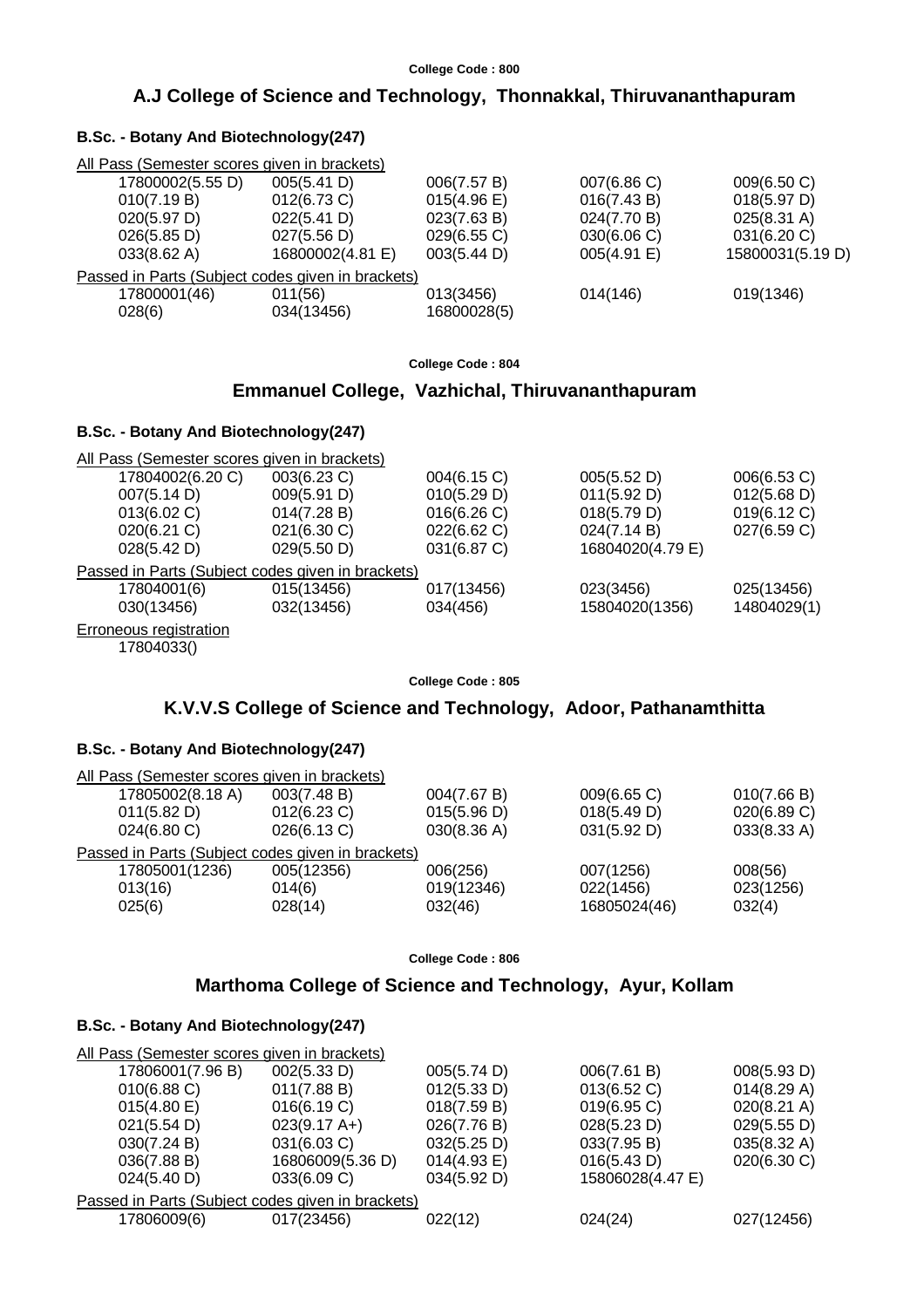# **A.J College of Science and Technology, Thonnakkal, Thiruvananthapuram**

| All Pass (Semester scores given in brackets)      |                  |             |             |                       |
|---------------------------------------------------|------------------|-------------|-------------|-----------------------|
| 17800002(5.55 D)                                  | 005(5.41 D)      | 006(7.57 B) | 007(6.86 C) | 009(6.50 C)           |
| 010(7.19 B)                                       | 012(6.73 C)      | 015(4.96)   | 016(7.43 B) | 018(5.97 D)           |
| 020(5.97 D)                                       | 022(5.41 D)      | 023(7.63 B) | 024(7.70 B) | $025(8.31 \text{ A})$ |
| 026(5.85 D)                                       | 027(5.56 D)      | 029(6.55 C) | 030(6.06)   | 031(6.20 C)           |
| $033(8.62 \text{ A})$                             | 16800002(4.81 E) | 003(5.44 D) | 005(4.91 E) | 15800031(5.19 D)      |
| Passed in Parts (Subject codes given in brackets) |                  |             |             |                       |
| 17800001(46)                                      | 011(56)          | 013(3456)   | 014(146)    | 019(1346)             |
| 028(6)                                            | 034(13456)       | 16800028(5) |             |                       |
|                                                   |                  |             |             |                       |
|                                                   |                  |             |             |                       |

### **College Code : 804**

# **Emmanuel College, Vazhichal, Thiruvananthapuram**

# **B.Sc. - Botany And Biotechnology(247)**

**B.Sc. - Botany And Biotechnology(247)**

| All Pass (Semester scores given in brackets)      |             |             |                  |             |
|---------------------------------------------------|-------------|-------------|------------------|-------------|
| 17804002(6.20 C)                                  | 003(6.23 C) | 004(6.15 C) | 005(5.52 D)      | 006(6.53 C) |
| 007(5.14 D)                                       | 009(5.91 D) | 010(5.29 D) | 011(5.92 D)      | 012(5.68 D) |
| 013(6.02 C)                                       | 014(7.28 B) | 016(6.26)   | 018(5.79 D)      | 019(6.12 C) |
| $020(6.21)$ C)                                    | 021(6.30 C) | 022(6.62 C) | 024(7.14 B)      | 027(6.59 C) |
| 028(5.42 D)                                       | 029(5.50 D) | 031(6.87 C) | 16804020(4.79 E) |             |
| Passed in Parts (Subject codes given in brackets) |             |             |                  |             |
| 17804001(6)                                       | 015(13456)  | 017(13456)  | 023(3456)        | 025(13456)  |
| 030(13456)                                        | 032(13456)  | 034(456)    | 15804020(1356)   | 14804029(1) |
| Erroneous registration                            |             |             |                  |             |
|                                                   |             |             |                  |             |

# 17804033()

### **College Code : 805**

# **K.V.V.S College of Science and Technology, Adoor, Pathanamthitta**

# **B.Sc. - Botany And Biotechnology(247)**

| All Pass (Semester scores given in brackets)      |                |             |              |             |
|---------------------------------------------------|----------------|-------------|--------------|-------------|
| 17805002(8.18 A)                                  | 003(7.48 B)    | 004(7.67 B) | 009(6.65 C)  | 010(7.66 B) |
| 011(5.82 D)                                       | $012(6.23)$ C) | 015(5.96 D) | 018(5.49 D)  | 020(6.89 C) |
| $024(6.80 \text{ C})$                             | 026(6.13 C)    | 030(8.36)   | 031(5.92 D)  | 033(8.33 A) |
| Passed in Parts (Subject codes given in brackets) |                |             |              |             |
| 17805001(1236)                                    | 005(12356)     | 006(256)    | 007(1256)    | 008(56)     |
| 013(16)                                           | 014(6)         | 019(12346)  | 022(1456)    | 023(1256)   |
| 025(6)                                            | 028(14)        | 032(46)     | 16805024(46) | 032(4)      |
|                                                   |                |             |              |             |

**College Code : 806**

# **Marthoma College of Science and Technology, Ayur, Kollam**

## **B.Sc. - Botany And Biotechnology(247)**

| All Pass (Semester scores given in brackets)      |                        |             |                  |                       |
|---------------------------------------------------|------------------------|-------------|------------------|-----------------------|
| 17806001(7.96 B)                                  | 002(5.33 D)            | 005(5.74 D) | 006(7.61 B)      | 008(5.93 D)           |
| $010(6.88)$ C)                                    | 011(7.88 B)            | 012(5.33 D) | 013(6.52 C)      | 014(8.29 A)           |
| 015(4.80)                                         | 016(6.19 C)            | 018(7.59 B) | 019(6.95 C)      | $020(8.21 \text{ A})$ |
| 021(5.54 D)                                       | $023(9.17 \text{ A+})$ | 026(7.76 B) | 028(5.23 D)      | 029(5.55 D)           |
| 030(7.24 B)                                       | 031(6.03 C)            | 032(5.25 D) | 033(7.95 B)      | $035(8.32 \text{ A})$ |
| 036(7.88 B)                                       | 16806009(5.36 D)       | 014(4.93 E) | 016(5.43 D)      | 020(6.30 C)           |
| 024(5.40 D)                                       | 033(6.09 C)            | 034(5.92 D) | 15806028(4.47 E) |                       |
| Passed in Parts (Subject codes given in brackets) |                        |             |                  |                       |
| 17806009(6)                                       | 017(23456)             | 022(12)     | 024(24)          | 027(12456)            |